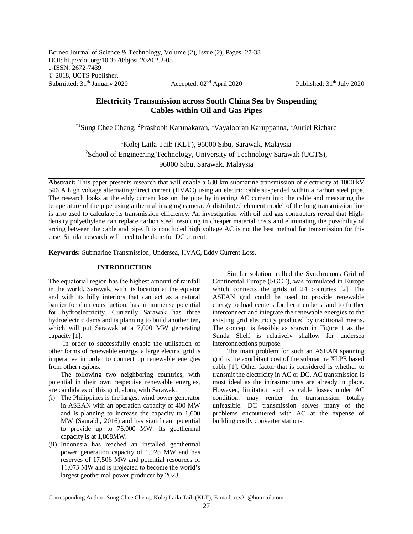Submitted: 31<sup>th</sup> January 2020 Accepted: 02<sup>nd</sup> April 2020 Published: 31<sup>th</sup> July 2020

# **Electricity Transmission across South China Sea by Suspending Cables within Oil and Gas Pipes**

\*<sup>1</sup>Sung Chee Cheng, <sup>2</sup>Prashobh Karunakaran, <sup>1</sup>Vayalooran Karuppanna, <sup>1</sup>Auriel Richard

<sup>1</sup>Kolej Laila Taib (KLT), 96000 Sibu, Sarawak, Malaysia <sup>2</sup>School of Engineering Technology, University of Technology Sarawak (UCTS), 96000 Sibu, Sarawak, Malaysia

**Abstract:** This paper presents research that will enable a 630 km submarine transmission of electricity at 1000 kV 546 A high voltage alternating/direct current (HVAC) using an electric cable suspended within a carbon steel pipe. The research looks at the eddy current loss on the pipe by injecting AC current into the cable and measuring the temperature of the pipe using a thermal imaging camera. A distributed element model of the long transmission line is also used to calculate its transmission efficiency. An investigation with oil and gas contractors reveal that Highdensity polyethylene can replace carbon steel, resulting in cheaper material costs and eliminating the possibility of arcing between the cable and pipe. It is concluded high voltage AC is not the best method for transmission for this case. Similar research will need to be done for DC current.

**Keywords:** Submarine Transmission, Undersea, HVAC, Eddy Current Loss.

# **INTRODUCTION**

The equatorial region has the highest amount of rainfall in the world. Sarawak, with its location at the equator and with its hilly interiors that can act as a natural barrier for dam construction, has an immense potential for hydroelectricity. Currently Sarawak has three hydroelectric dams and is planning to build another ten, which will put Sarawak at a 7,000 MW generating capacity [1].

In order to successfully enable the utilisation of other forms of renewable energy, a large electric grid is imperative in order to connect up renewable energies from other regions.

The following two neighboring countries, with potential in their own respective renewable energies, are candidates of this grid, along with Sarawak.

- (i) The Philippines is the largest wind power generator in ASEAN with an operation capacity of 400 MW and is planning to increase the capacity to 1,600 MW (Saurabh, 2016) and has significant potential to provide up to 76,000 MW. Its geothermal capacity is at 1,868MW.
- (ii) Indonesia has reached an installed geothermal power generation capacity of 1,925 MW and has reserves of 17,506 MW and potential resources of 11,073 MW and is projected to become the world's largest geothermal power producer by 2023.

Similar solution, called the Synchronous Grid of Continental Europe (SGCE), was formulated in Europe which connects the grids of 24 countries [2]. The ASEAN grid could be used to provide renewable energy to load centers for her members, and to further interconnect and integrate the renewable energies to the existing grid electricity produced by traditional means. The concept is feasible as shown in Figure 1 as the Sunda Shelf is relatively shallow for undersea interconnections purpose.

The main problem for such an ASEAN spanning grid is the exorbitant cost of the submarine XLPE based cable [1]. Other factor that is considered is whether to transmit the electricity in AC or DC. AC transmission is most ideal as the infrastructures are already in place. However, limitation such as cable losses under AC condition, may render the transmission totally unfeasible. DC transmission solves many of the problems encountered with AC at the expense of building costly converter stations.

Corresponding Author: Sung Chee Cheng, Kolej Laila Taib (KLT), E-mail: ccs21@hotmail.com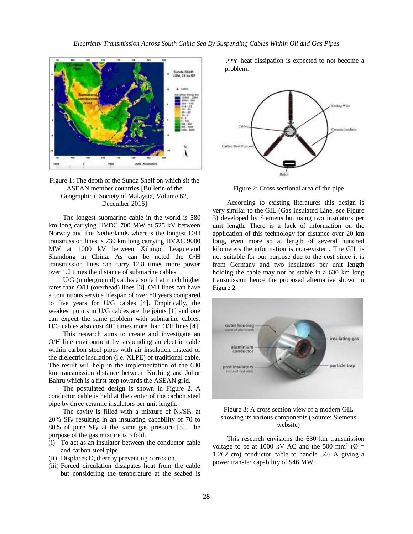

Figure 1: The depth of the Sunda Shelf on which sit the ASEAN member countries [Bulletin of the Geographical Society of Malaysia, Volume 62, December 2016]

The longest submarine cable in the world is 580 km long carrying HVDC 700 MW at 525 kV between Norway and the Netherlands whereas the longest O/H transmission lines is 730 km long carrying HVAC 9000 MW at 1000 kV between Xilingol League and Shandong in China. As can be noted the O/H transmission lines can carry 12.8 times more power over 1.2 times the distance of submarine cables.

U/G (underground) cables also fail at much higher rates than O/H (overhead) lines [3]. O/H lines can have a continuous service lifespan of over 80 years compared to five years for U/G cables [4]. Empirically, the weakest points in U/G cables are the joints [1] and one can expect the same problem with submarine cables. U/G cables also cost 400 times more than O/H lines [4].

This research aims to create and investigate an O/H line environment by suspending an electric cable within carbon steel pipes with air insulation instead of the dielectric insulation (i.e. XLPE) of traditional cable. The result will help in the implementation of the 630 km transmission distance between Kuching and Johor Bahru which is a first step towards the ASEAN grid.

The postulated design is shown in Figure 2. A conductor cable is held at the center of the carbon steel pipe by three ceramic insulators per unit length.

The cavity is filled with a mixture of  $N_2/SF_6$  at 20% SF<sup>6</sup> resulting in an insulating capability of 70 to 80% of pure  $SF_6$  at the same gas pressure [5]. The purpose of the gas mixture is 3 fold.

- (i) To act as an insulator between the conductor cable and carbon steel pipe.
- (ii) Displaces  $O_2$  thereby preventing corrosion.
- (iii) Forced circulation dissipates heat from the cable but considering the temperature at the seabed is

 $22^{\circ}$ C heat dissipation is expected to not become a problem.



Figure 2: Cross sectional area of the pipe

According to existing literatures this design is very similar to the GIL (Gas Insulated Line, see Figure 3) developed by Siemens but using two insulators per unit length. There is a lack of information on the application of this technology for distance over 20 km long, even more so at length of several hundred kilometers the information is non-existent. The GIL is not suitable for our purpose due to the cost since it is from Germany and two insulators per unit length holding the cable may not be stable in a 630 km long transmission hence the proposed alternative shown in Figure 2.





This research envisions the 630 km transmission voltage to be at 1000 kV AC and the 500 mm<sup>2</sup> ( $\varnothing$  = 1.262 cm) conductor cable to handle 546 A giving a power transfer capability of 546 MW.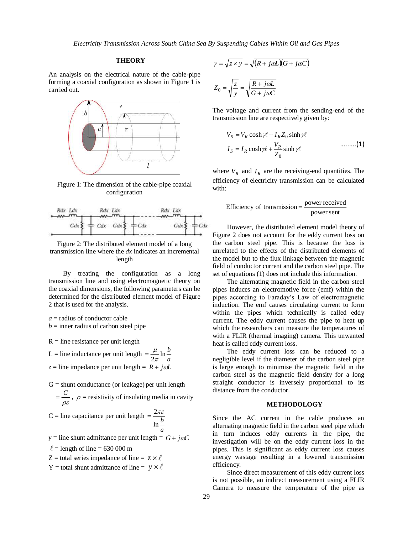*Electricity Transmission Across South China Sea By Suspending Cables Within Oil and Gas Pipes*

## **THEORY**

An analysis on the electrical nature of the cable-pipe forming a coaxial configuration as shown in Figure 1 is carried out.



Figure 1: The dimension of the cable-pipe coaxial configuration



Figure 2: The distributed element model of a long transmission line where the *dx* indicates an incremental length

By treating the configuration as a long transmission line and using electromagnetic theory on the coaxial dimensions, the following parameters can be determined for the distributed element model of Figure 2 that is used for the analysis.

*a* = radius of conductor cable  $b =$  inner radius of carbon steel pipe

 $R =$  line resistance per unit length

L = line inductance per unit length  $=$   $\frac{\mu}{2\pi}$  ln  $\frac{\mu}{a}$  $\frac{\mu}{2\pi}$ ln $\frac{b}{a}$  $=\frac{\mu}{\sqrt{2}}$  $z =$  line impedance per unit length =  $R + j\omega L$ 

 $G =$  shunt conductance (or leakage) per unit length

 $\rho\varepsilon$  $=\frac{C}{\rho}$ ,  $\rho$  = resistivity of insulating media in cavity

$$
C = line capacitance per unit length = \frac{2\pi\varepsilon}{\ln\frac{b}{a}}
$$

 $y =$  line shunt admittance per unit length =  $G + j\omega C$  $\ell$  = length of line = 630 000 m

 $Z =$  total series impedance of line =  $z \times \ell$ 

Y = total shunt admittance of line =  $y \times \ell$ 

$$
\gamma = \sqrt{z \times y} = \sqrt{(R + j\omega L)(G + j\omega C)}
$$

$$
Z_0 = \sqrt{\frac{z}{y}} = \sqrt{\frac{R + j\omega L}{G + j\omega C}}
$$

The voltage and current from the sending-end of the transmission line are respectively given by:

$$
V_S = V_R \cosh \gamma \ell + I_R Z_0 \sinh \gamma \ell
$$
  
\n
$$
I_S = I_R \cosh \gamma \ell + \frac{V_R}{Z_0} \sinh \gamma \ell \qquad \qquad \dots \dots \dots (1)
$$

where  $V_R$  and  $I_R$  are the receiving-end quantities. The efficiency of electricity transmission can be calculated with:

Efficiency of transmission = 
$$
\frac{\text{power received}}{\text{power sent}}
$$

However, the distributed element model theory of Figure 2 does not account for the eddy current loss on the carbon steel pipe. This is because the loss is unrelated to the effects of the distributed elements of the model but to the flux linkage between the magnetic field of conductor current and the carbon steel pipe. The set of equations (1) does not include this information.

The alternating magnetic field in the carbon steel pipes induces an electromotive force (emf) within the pipes according to Faraday's Law of electromagnetic induction. The emf causes circulating current to form within the pipes which technically is called eddy current. The eddy current causes the pipe to heat up which the researchers can measure the temperatures of with a FLIR (thermal imaging) camera. This unwanted heat is called eddy current loss.

The eddy current loss can be reduced to a negligible level if the diameter of the carbon steel pipe is large enough to minimise the magnetic field in the carbon steel as the magnetic field density for a long straight conductor is inversely proportional to its distance from the conductor.

### **METHODOLOGY**

Since the AC current in the cable produces an alternating magnetic field in the carbon steel pipe which in turn induces eddy currents in the pipe, the investigation will be on the eddy current loss in the pipes. This is significant as eddy current loss causes energy wastage resulting in a lowered transmission efficiency.

Since direct measurement of this eddy current loss is not possible, an indirect measurement using a FLIR Camera to measure the temperature of the pipe as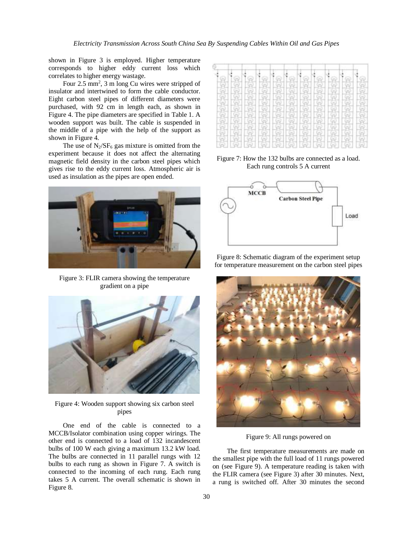shown in Figure 3 is employed. Higher temperature corresponds to higher eddy current loss which correlates to higher energy wastage.

Four 2.5 mm<sup>2</sup>, 3 m long Cu wires were stripped of insulator and intertwined to form the cable conductor. Eight carbon steel pipes of different diameters were purchased, with 92 cm in length each, as shown in Figure 4. The pipe diameters are specified in Table 1. A wooden support was built. The cable is suspended in the middle of a pipe with the help of the support as shown in Figure 4.

The use of  $N_2/SF_6$  gas mixture is omitted from the experiment because it does not affect the alternating magnetic field density in the carbon steel pipes which gives rise to the eddy current loss. Atmospheric air is used as insulation as the pipes are open ended.



Figure 3: FLIR camera showing the temperature gradient on a pipe



Figure 4: Wooden support showing six carbon steel pipes

One end of the cable is connected to a MCCB/Isolator combination using copper wirings. The other end is connected to a load of 132 incandescent bulbs of 100 W each giving a maximum 13.2 kW load. The bulbs are connected in 11 parallel rungs with 12 bulbs to each rung as shown in Figure 7. A switch is connected to the incoming of each rung. Each rung takes 5 A current. The overall schematic is shown in Figure 8.

| s |  | a | ಣ | Q | $\odot$ |   |
|---|--|---|---|---|---------|---|
|   |  |   |   |   |         |   |
|   |  |   |   |   |         |   |
|   |  |   |   |   |         |   |
|   |  |   |   |   |         |   |
|   |  |   |   |   |         | - |
|   |  |   |   |   |         |   |
|   |  |   |   |   |         |   |
|   |  |   |   |   |         |   |
|   |  |   |   |   |         |   |
|   |  |   |   |   |         |   |
|   |  |   |   |   |         |   |

Figure 7: How the 132 bulbs are connected as a load. Each rung controls 5 A current



Figure 8: Schematic diagram of the experiment setup for temperature measurement on the carbon steel pipes



Figure 9: All rungs powered on

The first temperature measurements are made on the smallest pipe with the full load of 11 rungs powered on (see Figure 9). A temperature reading is taken with the FLIR camera (see Figure 3) after 30 minutes. Next, a rung is switched off. After 30 minutes the second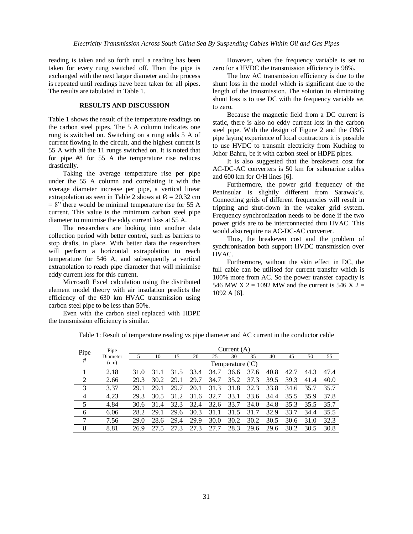reading is taken and so forth until a reading has been taken for every rung switched off. Then the pipe is exchanged with the next larger diameter and the process is repeated until readings have been taken for all pipes. The results are tabulated in Table 1.

# **RESULTS AND DISCUSSION**

Table 1 shows the result of the temperature readings on the carbon steel pipes. The 5 A column indicates one rung is switched on. Switching on a rung adds 5 A of current flowing in the circuit, and the highest current is 55 A with all the 11 rungs switched on. It is noted that for pipe #8 for 55 A the temperature rise reduces drastically.

Taking the average temperature rise per pipe under the 55 A column and correlating it with the average diameter increase per pipe, a vertical linear extrapolation as seen in Table 2 shows at  $\varnothing$  = 20.32 cm  $= 8$ " there would be minimal temperature rise for 55 A current. This value is the minimum carbon steel pipe diameter to minimise the eddy current loss at 55 A.

The researchers are looking into another data collection period with better control, such as barriers to stop drafts, in place. With better data the researchers will perform a horizontal extrapolation to reach temperature for 546 A, and subsequently a vertical extrapolation to reach pipe diameter that will minimise eddy current loss for this current.

Microsoft Excel calculation using the distributed element model theory with air insulation predicts the efficiency of the 630 km HVAC transmission using carbon steel pipe to be less than 50%.

Even with the carbon steel replaced with HDPE the transmission efficiency is similar.

However, when the frequency variable is set to zero for a HVDC the transmission efficiency is 98%.

The low AC transmission efficiency is due to the shunt loss in the model which is significant due to the length of the transmission. The solution in eliminating shunt loss is to use DC with the frequency variable set to zero.

Because the magnetic field from a DC current is static, there is also no eddy current loss in the carbon steel pipe. With the design of Figure 2 and the O&G pipe laying experience of local contractors it is possible to use HVDC to transmit electricity from Kuching to Johor Bahru, be it with carbon steel or HDPE pipes.

It is also suggested that the breakeven cost for AC-DC-AC converters is 50 km for submarine cables and 600 km for O/H lines [6].

Furthermore, the power grid frequency of the Peninsular is slightly different from Sarawak's. Connecting grids of different frequencies will result in tripping and shut-down in the weaker grid system. Frequency synchronization needs to be done if the two power grids are to be interconnected thru HVAC. This would also require na AC-DC-AC converter.

Thus, the breakeven cost and the problem of synchronisation both support HVDC transmission over HVAC.

Furthermore, without the skin effect in DC, the full cable can be utilised for current transfer which is 100% more from AC. So the power transfer capacity is 546 MW X 2 = 1092 MW and the current is 546 X 2 = 1092 A [6].

| Pipe           | Pipe<br>Diameter<br>(cm) | Current $(A)$    |      |      |      |      |      |      |      |      |      |      |
|----------------|--------------------------|------------------|------|------|------|------|------|------|------|------|------|------|
|                |                          | 5                | 10   | 15   | 20   | 25   | 30   | 35   | 40   | 45   | 50   | 55   |
| $\#$           |                          | Temperature (°C) |      |      |      |      |      |      |      |      |      |      |
|                | 2.18                     | 31.0             | 31.1 | 31.5 | 33.4 | 34.7 | 36.6 | 37.6 | 40.8 | 42.7 | 44.3 | 47.4 |
| 2              | 2.66                     | 29.3             | 30.2 | 29.1 | 29.7 | 34.7 | 35.2 | 37.3 | 39.5 | 39.3 | 41.4 | 40.0 |
| 3              | 3.37                     | 29.1             | 29.1 | 29.7 | 20.1 | 31.3 | 31.8 | 32.3 | 33.8 | 34.6 | 35.7 | 35.7 |
| $\overline{4}$ | 4.23                     | 29.3             | 30.5 | 31.2 | 31.6 | 32.7 | 33.1 | 33.6 | 34.4 | 35.5 | 35.9 | 37.8 |
| 5              | 4.84                     | 30.6             | 31.4 | 32.3 | 32.4 | 32.6 | 33.7 | 34.0 | 34.8 | 35.3 | 35.5 | 35.7 |
| 6              | 6.06                     | 28.2             | 29.1 | 29.6 | 30.3 | 31.1 | 31.5 | 31.7 | 32.9 | 33.7 | 34.4 | 35.5 |
| 7              | 7.56                     | 29.0             | 28.6 | 29.4 | 29.9 | 30.0 | 30.2 | 30.2 | 30.5 | 30.6 | 31.0 | 32.3 |
| 8              | 8.81                     | 26.9             | 27.5 | 27.3 | 27.3 | 27.7 | 28.3 | 29.6 | 29.6 | 30.2 | 30.5 | 30.8 |

Table 1: Result of temperature reading vs pipe diameter and AC current in the conductor cable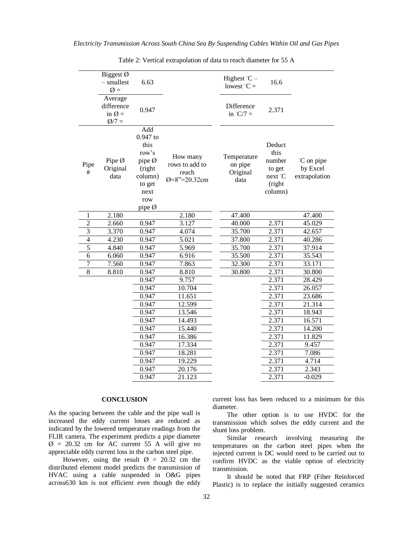|                | Biggest Ø<br>$-$ smallest<br>$\emptyset =$           | 6.63                                                                                               |                                                     | Highest $°C -$<br>lowest $^{\circ}C =$     | 16.6                                                               |                                         |
|----------------|------------------------------------------------------|----------------------------------------------------------------------------------------------------|-----------------------------------------------------|--------------------------------------------|--------------------------------------------------------------------|-----------------------------------------|
|                | Average<br>difference<br>in $\emptyset =$<br>$Q/7 =$ | 0.947                                                                                              |                                                     | Difference<br>in $°C/7 =$                  | 2.371                                                              |                                         |
| Pipe<br>#      | Pipe Ø<br>Original<br>data                           | Add<br>0.947 to<br>this<br>row's<br>pipe Ø<br>(right<br>column)<br>to get<br>next<br>row<br>pipe Ø | How many<br>rows to add to<br>reach<br>Ø=8"=20.32cm | Temperature<br>on pipe<br>Original<br>data | Deduct<br>this<br>number<br>to get<br>next °C<br>(right<br>column) | °C on pipe<br>by Excel<br>extrapolation |
| 1              | 2.180                                                |                                                                                                    | 2.180                                               | 47.400                                     |                                                                    | 47.400                                  |
| $\overline{2}$ | 2.660                                                | 0.947                                                                                              | 3.127                                               | 40.000                                     | 2.371                                                              | 45.029                                  |
| $\overline{3}$ | 3.370                                                | 0.947                                                                                              | 4.074                                               | 35.700                                     | 2.371                                                              | 42.657                                  |
| $\overline{4}$ | 4.230                                                | 0.947                                                                                              | 5.021                                               | 37.800                                     | 2.371                                                              | 40.286                                  |
| $\overline{5}$ | 4.840                                                | 0.947                                                                                              | 5.969                                               | 35.700                                     | 2.371                                                              | 37.914                                  |
| 6              | 6.060                                                | 0.947                                                                                              | 6.916                                               | 35.500                                     | 2.371                                                              | 35.543                                  |
| $\overline{7}$ | 7.560                                                | 0.947                                                                                              | 7.863                                               | 32.300                                     | 2.371                                                              | 33.171                                  |
| $\overline{8}$ | 8.810                                                | 0.947                                                                                              | 8.810                                               | 30.800                                     | 2.371                                                              | 30.800                                  |
|                |                                                      | 0.947                                                                                              | 9.757                                               |                                            | 2.371                                                              | 28.429                                  |
|                |                                                      | 0.947                                                                                              | 10.704                                              |                                            | 2.371                                                              | 26.057                                  |
|                |                                                      | 0.947                                                                                              | 11.651                                              |                                            | 2.371                                                              | 23.686                                  |
|                |                                                      | 0.947                                                                                              | 12.599                                              |                                            | 2.371                                                              | 21.314                                  |
|                |                                                      | 0.947                                                                                              | 13.546                                              |                                            | 2.371                                                              | 18.943                                  |
|                |                                                      | 0.947                                                                                              | 14.493                                              |                                            | 2.371                                                              | 16.571                                  |
|                |                                                      | 0.947                                                                                              | 15.440                                              |                                            | 2.371                                                              | 14.200                                  |
|                |                                                      | 0.947                                                                                              | 16.386                                              |                                            | 2.371                                                              | 11.829                                  |
|                |                                                      | 0.947                                                                                              | 17.334                                              |                                            | 2.371                                                              | 9.457                                   |
|                |                                                      | 0.947                                                                                              | 18.281                                              |                                            | 2.371                                                              | 7.086                                   |
|                |                                                      | 0.947                                                                                              | 19.229                                              |                                            | 2.371                                                              | 4.714                                   |
|                |                                                      | 0.947                                                                                              | 20.176                                              |                                            | 2.371                                                              | 2.343                                   |
|                |                                                      | 0.947                                                                                              | 21.123                                              |                                            | 2.371                                                              | $-0.029$                                |

Table 2: Vertical extrapolation of data to reach diameter for 55 A

## **CONCLUSION**

As the spacing between the cable and the pipe wall is increased the eddy current losses are reduced as indicated by the lowered temperature readings from the FLIR camera. The experiment predicts a pipe diameter  $\varnothing$  = 20.32 cm for AC current 55 A will give no appreciable eddy current loss in the carbon steel pipe.

However, using the result  $\varnothing$  = 20.32 cm the distributed element model predicts the transmission of HVAC using a cable suspended in O&G pipes across630 km is not efficient even though the eddy

current loss has been reduced to a minimum for this diameter.

The other option is to use HVDC for the transmission which solves the eddy current and the shunt loss problem.

Similar research involving measuring the temperatures on the carbon steel pipes when the injected current is DC would need to be carried out to confirm HVDC as the viable option of electricity transmission.

It should be noted that FRP (Fiber Reinforced Plastic) is to replace the initially suggested ceramics